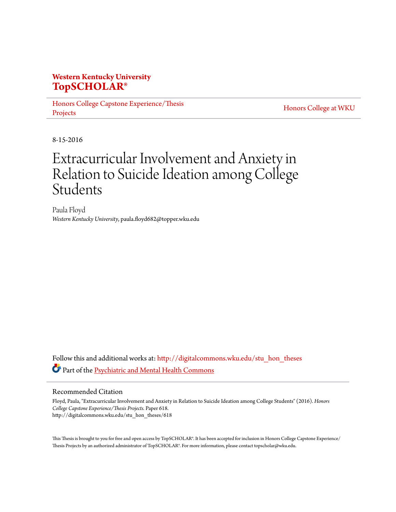### **Western Kentucky University [TopSCHOLAR®](http://digitalcommons.wku.edu?utm_source=digitalcommons.wku.edu%2Fstu_hon_theses%2F618&utm_medium=PDF&utm_campaign=PDFCoverPages)**

[Honors College Capstone Experience/Thesis](http://digitalcommons.wku.edu/stu_hon_theses?utm_source=digitalcommons.wku.edu%2Fstu_hon_theses%2F618&utm_medium=PDF&utm_campaign=PDFCoverPages) [Projects](http://digitalcommons.wku.edu/stu_hon_theses?utm_source=digitalcommons.wku.edu%2Fstu_hon_theses%2F618&utm_medium=PDF&utm_campaign=PDFCoverPages)

[Honors College at WKU](http://digitalcommons.wku.edu/honors_prog?utm_source=digitalcommons.wku.edu%2Fstu_hon_theses%2F618&utm_medium=PDF&utm_campaign=PDFCoverPages)

8-15-2016

# Extracurricular Involvement and Anxiety in Relation to Suicide Ideation among College Students

Paula Floyd *Western Kentucky University*, paula.floyd682@topper.wku.edu

Follow this and additional works at: [http://digitalcommons.wku.edu/stu\\_hon\\_theses](http://digitalcommons.wku.edu/stu_hon_theses?utm_source=digitalcommons.wku.edu%2Fstu_hon_theses%2F618&utm_medium=PDF&utm_campaign=PDFCoverPages) Part of the [Psychiatric and Mental Health Commons](http://network.bepress.com/hgg/discipline/711?utm_source=digitalcommons.wku.edu%2Fstu_hon_theses%2F618&utm_medium=PDF&utm_campaign=PDFCoverPages)

#### Recommended Citation

Floyd, Paula, "Extracurricular Involvement and Anxiety in Relation to Suicide Ideation among College Students" (2016). *Honors College Capstone Experience/Thesis Projects.* Paper 618. http://digitalcommons.wku.edu/stu\_hon\_theses/618

This Thesis is brought to you for free and open access by TopSCHOLAR®. It has been accepted for inclusion in Honors College Capstone Experience/ Thesis Projects by an authorized administrator of TopSCHOLAR®. For more information, please contact topscholar@wku.edu.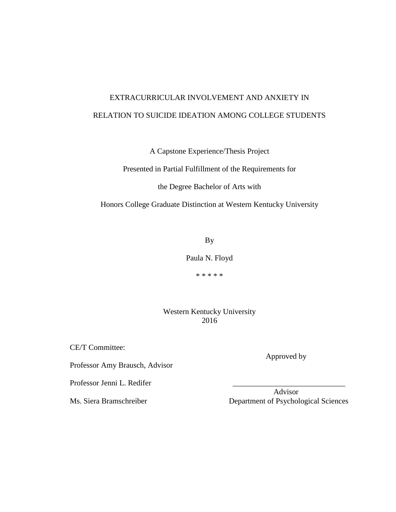## EXTRACURRICULAR INVOLVEMENT AND ANXIETY IN RELATION TO SUICIDE IDEATION AMONG COLLEGE STUDENTS

A Capstone Experience/Thesis Project

Presented in Partial Fulfillment of the Requirements for

the Degree Bachelor of Arts with

Honors College Graduate Distinction at Western Kentucky University

By

Paula N. Floyd

\* \* \* \* \*

Western Kentucky University 2016

CE/T Committee:

Professor Amy Brausch, Advisor

Professor Jenni L. Redifer

 Advisor Ms. Siera Bramschreiber Department of Psychological Sciences

Approved by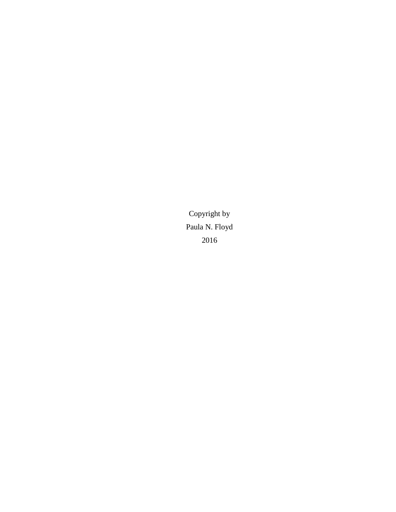Copyright by Paula N. Floyd 2016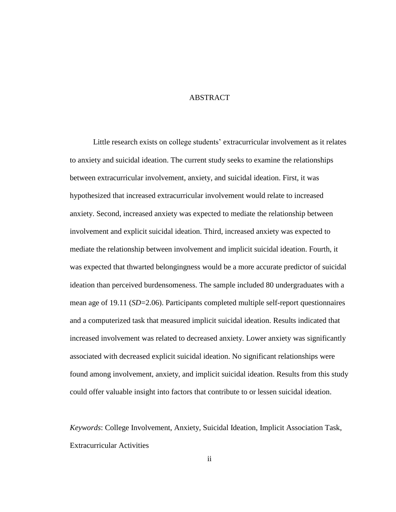#### **ABSTRACT**

Little research exists on college students' extracurricular involvement as it relates to anxiety and suicidal ideation. The current study seeks to examine the relationships between extracurricular involvement, anxiety, and suicidal ideation. First, it was hypothesized that increased extracurricular involvement would relate to increased anxiety. Second, increased anxiety was expected to mediate the relationship between involvement and explicit suicidal ideation. Third, increased anxiety was expected to mediate the relationship between involvement and implicit suicidal ideation. Fourth, it was expected that thwarted belongingness would be a more accurate predictor of suicidal ideation than perceived burdensomeness. The sample included 80 undergraduates with a mean age of 19.11 (*SD*=2.06). Participants completed multiple self-report questionnaires and a computerized task that measured implicit suicidal ideation. Results indicated that increased involvement was related to decreased anxiety. Lower anxiety was significantly associated with decreased explicit suicidal ideation. No significant relationships were found among involvement, anxiety, and implicit suicidal ideation. Results from this study could offer valuable insight into factors that contribute to or lessen suicidal ideation.

*Keywords*: College Involvement, Anxiety, Suicidal Ideation, Implicit Association Task, Extracurricular Activities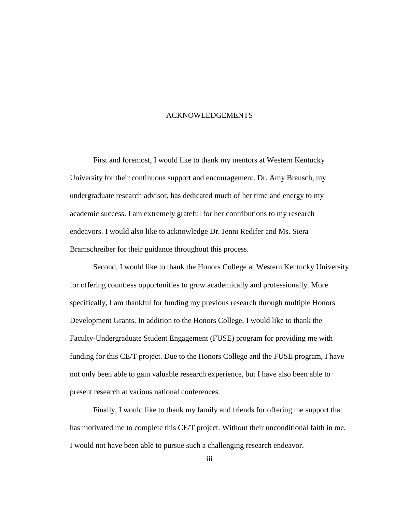#### ACKNOWLEDGEMENTS

First and foremost, I would like to thank my mentors at Western Kentucky University for their continuous support and encouragement. Dr. Amy Brausch, my undergraduate research advisor, has dedicated much of her time and energy to my academic success. I am extremely grateful for her contributions to my research endeavors. I would also like to acknowledge Dr. Jenni Redifer and Ms. Siera Bramschreiber for their guidance throughout this process.

Second, I would like to thank the Honors College at Western Kentucky University for offering countless opportunities to grow academically and professionally. More specifically, I am thankful for funding my previous research through multiple Honors Development Grants. In addition to the Honors College, I would like to thank the Faculty-Undergraduate Student Engagement (FUSE) program for providing me with funding for this CE/T project. Due to the Honors College and the FUSE program, I have not only been able to gain valuable research experience, but I have also been able to present research at various national conferences.

Finally, I would like to thank my family and friends for offering me support that has motivated me to complete this CE/T project. Without their unconditional faith in me, I would not have been able to pursue such a challenging research endeavor.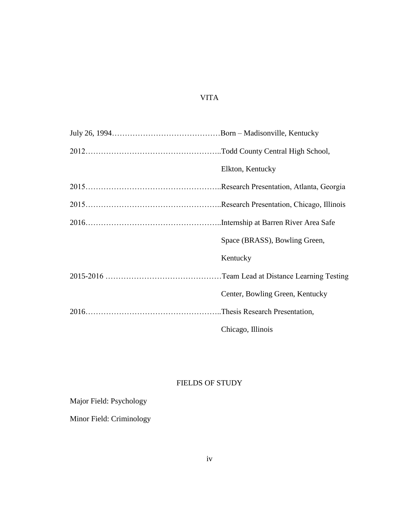### VITA

| Elkton, Kentucky                |  |  |  |  |
|---------------------------------|--|--|--|--|
|                                 |  |  |  |  |
|                                 |  |  |  |  |
|                                 |  |  |  |  |
| Space (BRASS), Bowling Green,   |  |  |  |  |
| Kentucky                        |  |  |  |  |
|                                 |  |  |  |  |
| Center, Bowling Green, Kentucky |  |  |  |  |
|                                 |  |  |  |  |
| Chicago, Illinois               |  |  |  |  |

### FIELDS OF STUDY

### Major Field: Psychology

Minor Field: Criminology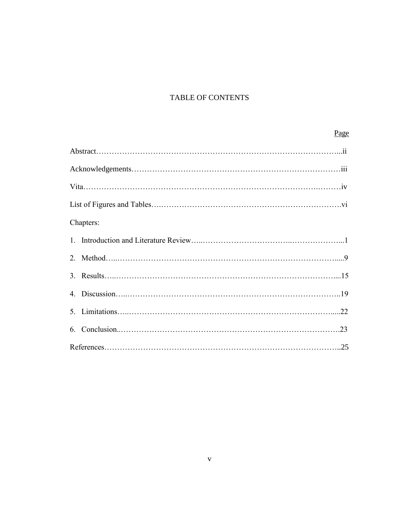### TABLE OF CONTENTS

### Page

| Chapters: |  |
|-----------|--|
|           |  |
|           |  |
|           |  |
|           |  |
|           |  |
|           |  |
|           |  |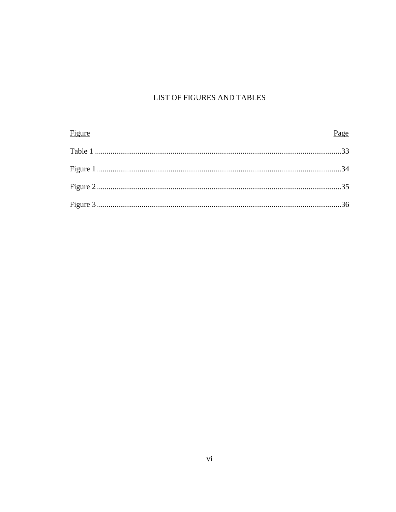### LIST OF FIGURES AND TABLES

| Figure | Page |
|--------|------|
|        |      |
|        |      |
|        |      |
|        |      |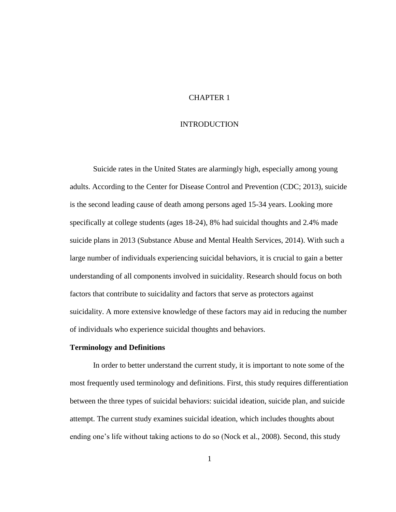#### CHAPTER 1

#### INTRODUCTION

Suicide rates in the United States are alarmingly high, especially among young adults. According to the Center for Disease Control and Prevention (CDC; 2013), suicide is the second leading cause of death among persons aged 15-34 years. Looking more specifically at college students (ages 18-24), 8% had suicidal thoughts and 2.4% made suicide plans in 2013 (Substance Abuse and Mental Health Services, 2014). With such a large number of individuals experiencing suicidal behaviors, it is crucial to gain a better understanding of all components involved in suicidality. Research should focus on both factors that contribute to suicidality and factors that serve as protectors against suicidality. A more extensive knowledge of these factors may aid in reducing the number of individuals who experience suicidal thoughts and behaviors.

#### **Terminology and Definitions**

In order to better understand the current study, it is important to note some of the most frequently used terminology and definitions. First, this study requires differentiation between the three types of suicidal behaviors: suicidal ideation, suicide plan, and suicide attempt. The current study examines suicidal ideation, which includes thoughts about ending one's life without taking actions to do so (Nock et al., 2008). Second, this study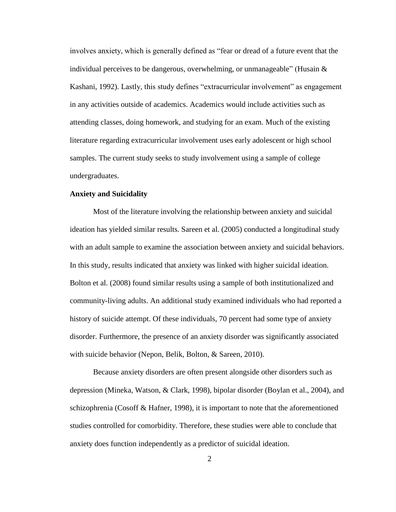involves anxiety, which is generally defined as "fear or dread of a future event that the individual perceives to be dangerous, overwhelming, or unmanageable" (Husain & Kashani, 1992). Lastly, this study defines "extracurricular involvement" as engagement in any activities outside of academics. Academics would include activities such as attending classes, doing homework, and studying for an exam. Much of the existing literature regarding extracurricular involvement uses early adolescent or high school samples. The current study seeks to study involvement using a sample of college undergraduates.

#### **Anxiety and Suicidality**

Most of the literature involving the relationship between anxiety and suicidal ideation has yielded similar results. Sareen et al. (2005) conducted a longitudinal study with an adult sample to examine the association between anxiety and suicidal behaviors. In this study, results indicated that anxiety was linked with higher suicidal ideation. Bolton et al. (2008) found similar results using a sample of both institutionalized and community-living adults. An additional study examined individuals who had reported a history of suicide attempt. Of these individuals, 70 percent had some type of anxiety disorder. Furthermore, the presence of an anxiety disorder was significantly associated with suicide behavior (Nepon, Belik, Bolton, & Sareen, 2010).

Because anxiety disorders are often present alongside other disorders such as depression (Mineka, Watson, & Clark, 1998), bipolar disorder (Boylan et al., 2004), and schizophrenia (Cosoff & Hafner, 1998), it is important to note that the aforementioned studies controlled for comorbidity. Therefore, these studies were able to conclude that anxiety does function independently as a predictor of suicidal ideation.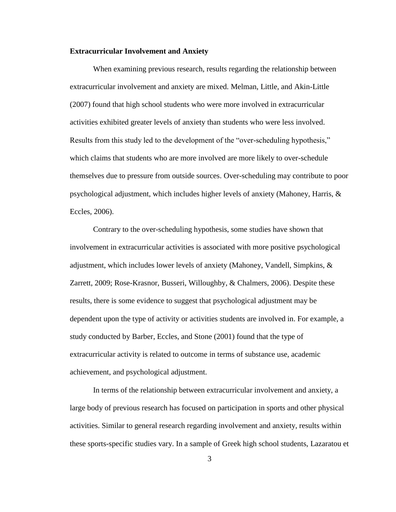#### **Extracurricular Involvement and Anxiety**

When examining previous research, results regarding the relationship between extracurricular involvement and anxiety are mixed. Melman, Little, and Akin-Little (2007) found that high school students who were more involved in extracurricular activities exhibited greater levels of anxiety than students who were less involved. Results from this study led to the development of the "over-scheduling hypothesis," which claims that students who are more involved are more likely to over-schedule themselves due to pressure from outside sources. Over-scheduling may contribute to poor psychological adjustment, which includes higher levels of anxiety (Mahoney, Harris, & Eccles, 2006).

Contrary to the over-scheduling hypothesis, some studies have shown that involvement in extracurricular activities is associated with more positive psychological adjustment, which includes lower levels of anxiety (Mahoney, Vandell, Simpkins, & Zarrett, 2009; Rose-Krasnor, Busseri, Willoughby, & Chalmers, 2006). Despite these results, there is some evidence to suggest that psychological adjustment may be dependent upon the type of activity or activities students are involved in. For example, a study conducted by Barber, Eccles, and Stone (2001) found that the type of extracurricular activity is related to outcome in terms of substance use, academic achievement, and psychological adjustment.

In terms of the relationship between extracurricular involvement and anxiety, a large body of previous research has focused on participation in sports and other physical activities. Similar to general research regarding involvement and anxiety, results within these sports-specific studies vary. In a sample of Greek high school students, Lazaratou et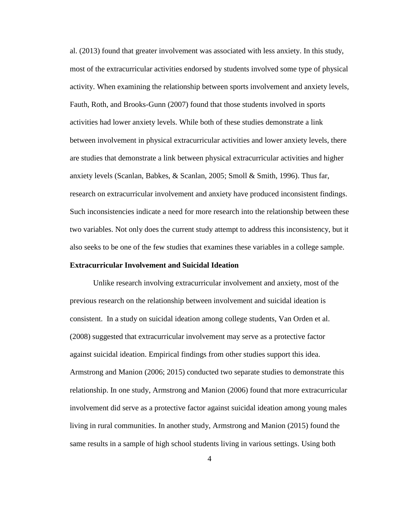al. (2013) found that greater involvement was associated with less anxiety. In this study, most of the extracurricular activities endorsed by students involved some type of physical activity. When examining the relationship between sports involvement and anxiety levels, Fauth, Roth, and Brooks-Gunn (2007) found that those students involved in sports activities had lower anxiety levels. While both of these studies demonstrate a link between involvement in physical extracurricular activities and lower anxiety levels, there are studies that demonstrate a link between physical extracurricular activities and higher anxiety levels (Scanlan, Babkes, & Scanlan, 2005; Smoll & Smith, 1996). Thus far, research on extracurricular involvement and anxiety have produced inconsistent findings. Such inconsistencies indicate a need for more research into the relationship between these two variables. Not only does the current study attempt to address this inconsistency, but it also seeks to be one of the few studies that examines these variables in a college sample.

#### **Extracurricular Involvement and Suicidal Ideation**

Unlike research involving extracurricular involvement and anxiety, most of the previous research on the relationship between involvement and suicidal ideation is consistent. In a study on suicidal ideation among college students, Van Orden et al. (2008) suggested that extracurricular involvement may serve as a protective factor against suicidal ideation. Empirical findings from other studies support this idea. Armstrong and Manion (2006; 2015) conducted two separate studies to demonstrate this relationship. In one study, Armstrong and Manion (2006) found that more extracurricular involvement did serve as a protective factor against suicidal ideation among young males living in rural communities. In another study, Armstrong and Manion (2015) found the same results in a sample of high school students living in various settings. Using both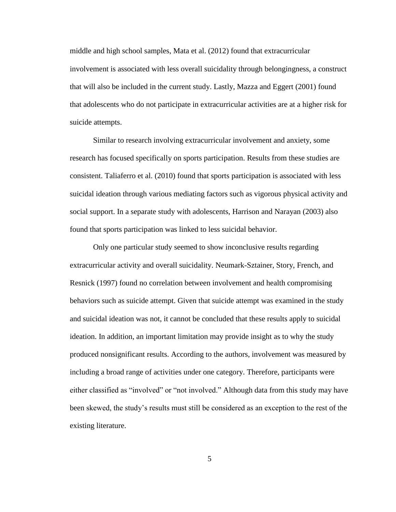middle and high school samples, Mata et al. (2012) found that extracurricular involvement is associated with less overall suicidality through belongingness, a construct that will also be included in the current study. Lastly, Mazza and Eggert (2001) found that adolescents who do not participate in extracurricular activities are at a higher risk for suicide attempts.

Similar to research involving extracurricular involvement and anxiety, some research has focused specifically on sports participation. Results from these studies are consistent. Taliaferro et al. (2010) found that sports participation is associated with less suicidal ideation through various mediating factors such as vigorous physical activity and social support. In a separate study with adolescents, Harrison and Narayan (2003) also found that sports participation was linked to less suicidal behavior.

Only one particular study seemed to show inconclusive results regarding extracurricular activity and overall suicidality. Neumark-Sztainer, Story, French, and Resnick (1997) found no correlation between involvement and health compromising behaviors such as suicide attempt. Given that suicide attempt was examined in the study and suicidal ideation was not, it cannot be concluded that these results apply to suicidal ideation. In addition, an important limitation may provide insight as to why the study produced nonsignificant results. According to the authors, involvement was measured by including a broad range of activities under one category. Therefore, participants were either classified as "involved" or "not involved." Although data from this study may have been skewed, the study's results must still be considered as an exception to the rest of the existing literature.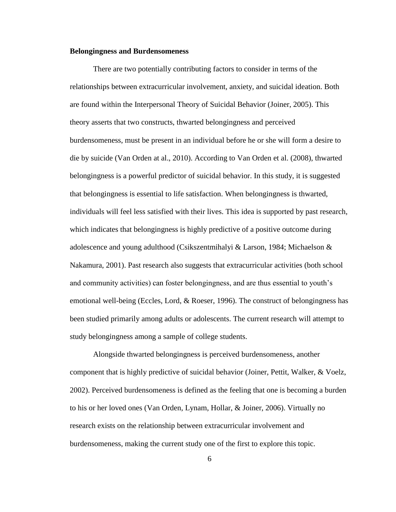#### **Belongingness and Burdensomeness**

There are two potentially contributing factors to consider in terms of the relationships between extracurricular involvement, anxiety, and suicidal ideation. Both are found within the Interpersonal Theory of Suicidal Behavior (Joiner, 2005). This theory asserts that two constructs, thwarted belongingness and perceived burdensomeness, must be present in an individual before he or she will form a desire to die by suicide (Van Orden at al., 2010). According to Van Orden et al. (2008), thwarted belongingness is a powerful predictor of suicidal behavior. In this study, it is suggested that belongingness is essential to life satisfaction. When belongingness is thwarted, individuals will feel less satisfied with their lives. This idea is supported by past research, which indicates that belongingness is highly predictive of a positive outcome during adolescence and young adulthood (Csikszentmihalyi & Larson, 1984; Michaelson & Nakamura, 2001). Past research also suggests that extracurricular activities (both school and community activities) can foster belongingness, and are thus essential to youth's emotional well-being (Eccles, Lord, & Roeser, 1996). The construct of belongingness has been studied primarily among adults or adolescents. The current research will attempt to study belongingness among a sample of college students.

Alongside thwarted belongingness is perceived burdensomeness, another component that is highly predictive of suicidal behavior (Joiner, Pettit, Walker, & Voelz, 2002). Perceived burdensomeness is defined as the feeling that one is becoming a burden to his or her loved ones (Van Orden, Lynam, Hollar, & Joiner, 2006). Virtually no research exists on the relationship between extracurricular involvement and burdensomeness, making the current study one of the first to explore this topic.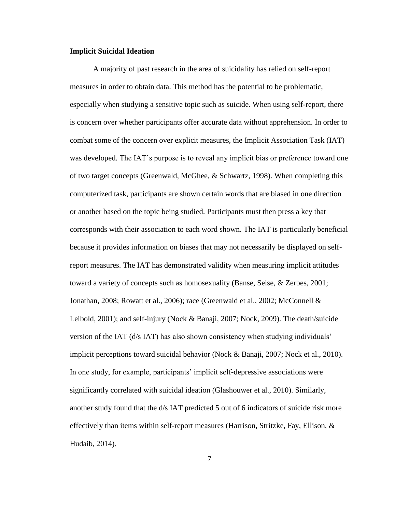#### **Implicit Suicidal Ideation**

A majority of past research in the area of suicidality has relied on self-report measures in order to obtain data. This method has the potential to be problematic, especially when studying a sensitive topic such as suicide. When using self-report, there is concern over whether participants offer accurate data without apprehension. In order to combat some of the concern over explicit measures, the Implicit Association Task (IAT) was developed. The IAT's purpose is to reveal any implicit bias or preference toward one of two target concepts (Greenwald, McGhee, & Schwartz, 1998). When completing this computerized task, participants are shown certain words that are biased in one direction or another based on the topic being studied. Participants must then press a key that corresponds with their association to each word shown. The IAT is particularly beneficial because it provides information on biases that may not necessarily be displayed on selfreport measures. The IAT has demonstrated validity when measuring implicit attitudes toward a variety of concepts such as homosexuality (Banse, Seise, & Zerbes, 2001; Jonathan, 2008; Rowatt et al., 2006); race (Greenwald et al., 2002; McConnell & Leibold, 2001); and self-injury (Nock & Banaji, 2007; Nock, 2009). The death/suicide version of the IAT (d/s IAT) has also shown consistency when studying individuals' implicit perceptions toward suicidal behavior (Nock & Banaji, 2007; Nock et al., 2010). In one study, for example, participants' implicit self-depressive associations were significantly correlated with suicidal ideation (Glashouwer et al., 2010). Similarly, another study found that the d/s IAT predicted 5 out of 6 indicators of suicide risk more effectively than items within self-report measures (Harrison, Stritzke, Fay, Ellison,  $\&$ Hudaib, 2014).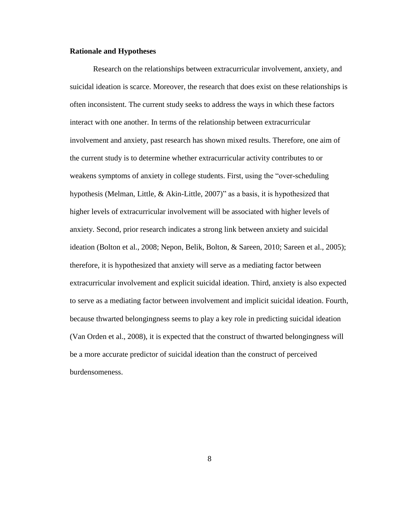#### **Rationale and Hypotheses**

Research on the relationships between extracurricular involvement, anxiety, and suicidal ideation is scarce. Moreover, the research that does exist on these relationships is often inconsistent. The current study seeks to address the ways in which these factors interact with one another. In terms of the relationship between extracurricular involvement and anxiety, past research has shown mixed results. Therefore, one aim of the current study is to determine whether extracurricular activity contributes to or weakens symptoms of anxiety in college students. First, using the "over-scheduling hypothesis (Melman, Little, & Akin-Little, 2007)" as a basis, it is hypothesized that higher levels of extracurricular involvement will be associated with higher levels of anxiety. Second, prior research indicates a strong link between anxiety and suicidal ideation (Bolton et al., 2008; Nepon, Belik, Bolton, & Sareen, 2010; Sareen et al., 2005); therefore, it is hypothesized that anxiety will serve as a mediating factor between extracurricular involvement and explicit suicidal ideation. Third, anxiety is also expected to serve as a mediating factor between involvement and implicit suicidal ideation. Fourth, because thwarted belongingness seems to play a key role in predicting suicidal ideation (Van Orden et al., 2008), it is expected that the construct of thwarted belongingness will be a more accurate predictor of suicidal ideation than the construct of perceived burdensomeness.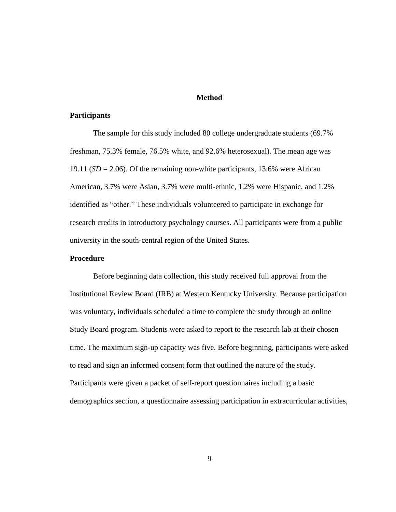#### **Method**

#### **Participants**

The sample for this study included 80 college undergraduate students (69.7% freshman, 75.3% female, 76.5% white, and 92.6% heterosexual). The mean age was 19.11 (*SD* = 2.06). Of the remaining non-white participants, 13.6% were African American, 3.7% were Asian, 3.7% were multi-ethnic, 1.2% were Hispanic, and 1.2% identified as "other." These individuals volunteered to participate in exchange for research credits in introductory psychology courses. All participants were from a public university in the south-central region of the United States.

#### **Procedure**

Before beginning data collection, this study received full approval from the Institutional Review Board (IRB) at Western Kentucky University. Because participation was voluntary, individuals scheduled a time to complete the study through an online Study Board program. Students were asked to report to the research lab at their chosen time. The maximum sign-up capacity was five. Before beginning, participants were asked to read and sign an informed consent form that outlined the nature of the study. Participants were given a packet of self-report questionnaires including a basic demographics section, a questionnaire assessing participation in extracurricular activities,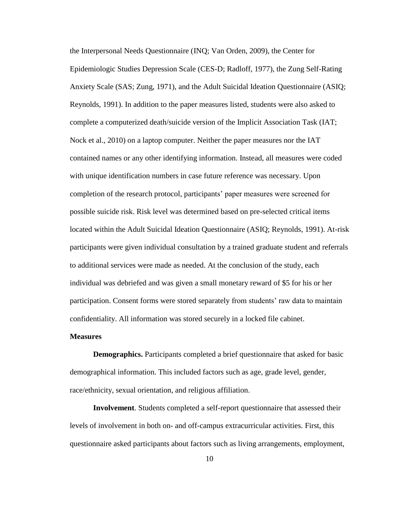the Interpersonal Needs Questionnaire (INQ; Van Orden, 2009), the Center for Epidemiologic Studies Depression Scale (CES-D; Radloff, 1977), the Zung Self-Rating Anxiety Scale (SAS; Zung, 1971), and the Adult Suicidal Ideation Questionnaire (ASIQ; Reynolds, 1991). In addition to the paper measures listed, students were also asked to complete a computerized death/suicide version of the Implicit Association Task (IAT; Nock et al., 2010) on a laptop computer. Neither the paper measures nor the IAT contained names or any other identifying information. Instead, all measures were coded with unique identification numbers in case future reference was necessary. Upon completion of the research protocol, participants' paper measures were screened for possible suicide risk. Risk level was determined based on pre-selected critical items located within the Adult Suicidal Ideation Questionnaire (ASIQ; Reynolds, 1991). At-risk participants were given individual consultation by a trained graduate student and referrals to additional services were made as needed. At the conclusion of the study, each individual was debriefed and was given a small monetary reward of \$5 for his or her participation. Consent forms were stored separately from students' raw data to maintain confidentiality. All information was stored securely in a locked file cabinet.

#### **Measures**

**Demographics.** Participants completed a brief questionnaire that asked for basic demographical information. This included factors such as age, grade level, gender, race/ethnicity, sexual orientation, and religious affiliation.

**Involvement**. Students completed a self-report questionnaire that assessed their levels of involvement in both on- and off-campus extracurricular activities. First, this questionnaire asked participants about factors such as living arrangements, employment,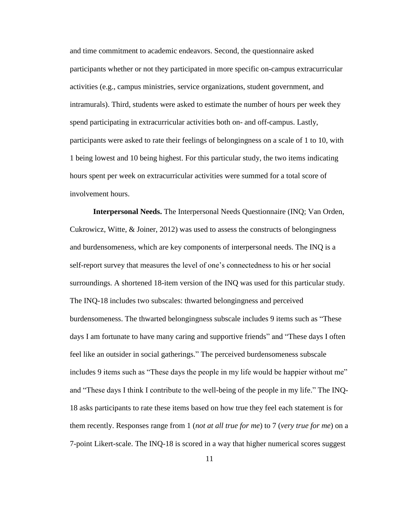and time commitment to academic endeavors. Second, the questionnaire asked participants whether or not they participated in more specific on-campus extracurricular activities (e.g., campus ministries, service organizations, student government, and intramurals). Third, students were asked to estimate the number of hours per week they spend participating in extracurricular activities both on- and off-campus. Lastly, participants were asked to rate their feelings of belongingness on a scale of 1 to 10, with 1 being lowest and 10 being highest. For this particular study, the two items indicating hours spent per week on extracurricular activities were summed for a total score of involvement hours.

**Interpersonal Needs.** The Interpersonal Needs Questionnaire (INQ; Van Orden, Cukrowicz, Witte, & Joiner, 2012) was used to assess the constructs of belongingness and burdensomeness, which are key components of interpersonal needs. The INQ is a self-report survey that measures the level of one's connectedness to his or her social surroundings. A shortened 18-item version of the INQ was used for this particular study. The INQ-18 includes two subscales: thwarted belongingness and perceived burdensomeness. The thwarted belongingness subscale includes 9 items such as "These days I am fortunate to have many caring and supportive friends" and "These days I often feel like an outsider in social gatherings." The perceived burdensomeness subscale includes 9 items such as "These days the people in my life would be happier without me" and "These days I think I contribute to the well-being of the people in my life." The INQ-18 asks participants to rate these items based on how true they feel each statement is for them recently. Responses range from 1 (*not at all true for me*) to 7 (*very true for me*) on a 7-point Likert-scale. The INQ-18 is scored in a way that higher numerical scores suggest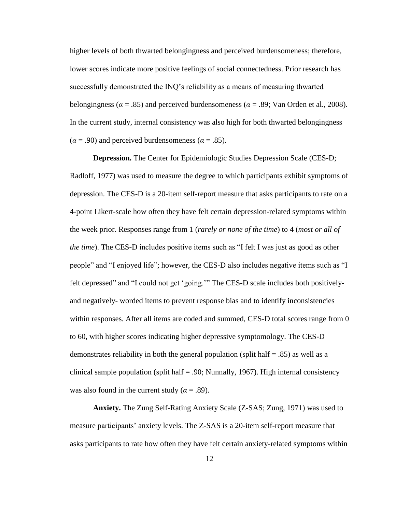higher levels of both thwarted belongingness and perceived burdensomeness; therefore, lower scores indicate more positive feelings of social connectedness. Prior research has successfully demonstrated the INQ's reliability as a means of measuring thwarted belongingness ( $\alpha = .85$ ) and perceived burdensomeness ( $\alpha = .89$ ; Van Orden et al., 2008). In the current study, internal consistency was also high for both thwarted belongingness  $(\alpha = .90)$  and perceived burdensomeness ( $\alpha = .85$ ).

**Depression.** The Center for Epidemiologic Studies Depression Scale (CES-D; Radloff, 1977) was used to measure the degree to which participants exhibit symptoms of depression. The CES-D is a 20-item self-report measure that asks participants to rate on a 4-point Likert-scale how often they have felt certain depression-related symptoms within the week prior. Responses range from 1 (*rarely or none of the time*) to 4 (*most or all of the time*). The CES-D includes positive items such as "I felt I was just as good as other people" and "I enjoyed life"; however, the CES-D also includes negative items such as "I felt depressed" and "I could not get 'going.'" The CES-D scale includes both positivelyand negatively- worded items to prevent response bias and to identify inconsistencies within responses. After all items are coded and summed, CES-D total scores range from 0 to 60, with higher scores indicating higher depressive symptomology. The CES-D demonstrates reliability in both the general population (split half  $= .85$ ) as well as a clinical sample population (split half  $= .90$ ; Nunnally, 1967). High internal consistency was also found in the current study ( $\alpha$  = .89).

**Anxiety.** The Zung Self-Rating Anxiety Scale (Z-SAS; Zung, 1971) was used to measure participants' anxiety levels. The Z-SAS is a 20-item self-report measure that asks participants to rate how often they have felt certain anxiety-related symptoms within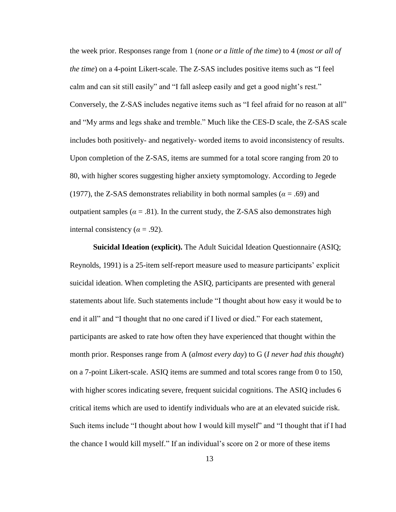the week prior. Responses range from 1 (*none or a little of the time*) to 4 (*most or all of the time*) on a 4-point Likert-scale. The Z-SAS includes positive items such as "I feel calm and can sit still easily" and "I fall asleep easily and get a good night's rest." Conversely, the Z-SAS includes negative items such as "I feel afraid for no reason at all" and "My arms and legs shake and tremble." Much like the CES-D scale, the Z-SAS scale includes both positively- and negatively- worded items to avoid inconsistency of results. Upon completion of the Z-SAS, items are summed for a total score ranging from 20 to 80, with higher scores suggesting higher anxiety symptomology. According to Jegede (1977), the Z-SAS demonstrates reliability in both normal samples ( $\alpha$  = .69) and outpatient samples ( $\alpha = .81$ ). In the current study, the Z-SAS also demonstrates high internal consistency ( $\alpha$  = .92).

**Suicidal Ideation (explicit).** The Adult Suicidal Ideation Questionnaire (ASIQ; Reynolds, 1991) is a 25-item self-report measure used to measure participants' explicit suicidal ideation. When completing the ASIQ, participants are presented with general statements about life. Such statements include "I thought about how easy it would be to end it all" and "I thought that no one cared if I lived or died." For each statement, participants are asked to rate how often they have experienced that thought within the month prior. Responses range from A (*almost every day*) to G (*I never had this thought*) on a 7-point Likert-scale. ASIQ items are summed and total scores range from 0 to 150, with higher scores indicating severe, frequent suicidal cognitions. The ASIQ includes 6 critical items which are used to identify individuals who are at an elevated suicide risk. Such items include "I thought about how I would kill myself" and "I thought that if I had the chance I would kill myself." If an individual's score on 2 or more of these items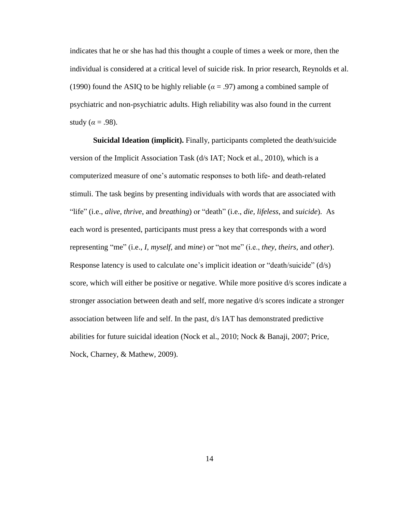indicates that he or she has had this thought a couple of times a week or more, then the individual is considered at a critical level of suicide risk. In prior research, Reynolds et al. (1990) found the ASIQ to be highly reliable ( $\alpha$  = .97) among a combined sample of psychiatric and non-psychiatric adults. High reliability was also found in the current study ( $\alpha$  = .98).

**Suicidal Ideation (implicit).** Finally, participants completed the death/suicide version of the Implicit Association Task (d/s IAT; Nock et al., 2010), which is a computerized measure of one's automatic responses to both life- and death-related stimuli. The task begins by presenting individuals with words that are associated with "life" (i.e., *alive, thrive*, and *breathing*) or "death" (i.e., *die, lifeless*, and *suicide*). As each word is presented, participants must press a key that corresponds with a word representing "me" (i.e., *I, myself*, and *mine*) or "not me" (i.e., *they*, *theirs*, and *other*). Response latency is used to calculate one's implicit ideation or "death/suicide" (d/s) score, which will either be positive or negative. While more positive d/s scores indicate a stronger association between death and self, more negative d/s scores indicate a stronger association between life and self. In the past, d/s IAT has demonstrated predictive abilities for future suicidal ideation (Nock et al., 2010; Nock & Banaji, 2007; Price, Nock, Charney, & Mathew, 2009).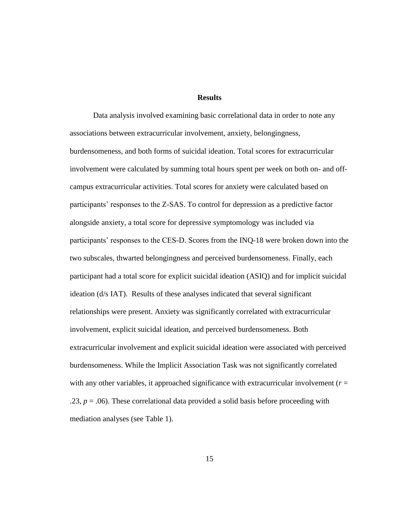#### **Results**

Data analysis involved examining basic correlational data in order to note any associations between extracurricular involvement, anxiety, belongingness, burdensomeness, and both forms of suicidal ideation. Total scores for extracurricular involvement were calculated by summing total hours spent per week on both on- and offcampus extracurricular activities. Total scores for anxiety were calculated based on participants' responses to the Z-SAS. To control for depression as a predictive factor alongside anxiety, a total score for depressive symptomology was included via participants' responses to the CES-D. Scores from the INQ-18 were broken down into the two subscales, thwarted belongingness and perceived burdensomeness. Finally, each participant had a total score for explicit suicidal ideation (ASIQ) and for implicit suicidal ideation (d/s IAT). Results of these analyses indicated that several significant relationships were present. Anxiety was significantly correlated with extracurricular involvement, explicit suicidal ideation, and perceived burdensomeness. Both extracurricular involvement and explicit suicidal ideation were associated with perceived burdensomeness. While the Implicit Association Task was not significantly correlated with any other variables, it approached significance with extracurricular involvement  $(r =$ .23,  $p = .06$ ). These correlational data provided a solid basis before proceeding with mediation analyses (see Table 1).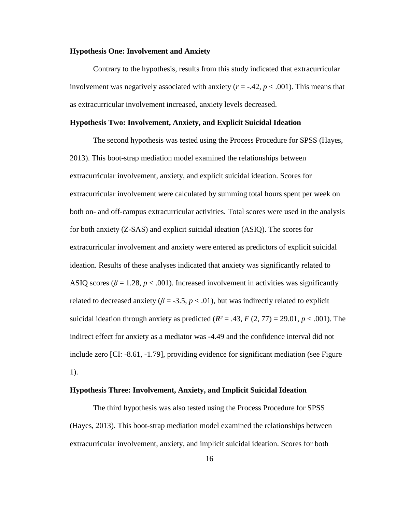#### **Hypothesis One: Involvement and Anxiety**

Contrary to the hypothesis, results from this study indicated that extracurricular involvement was negatively associated with anxiety  $(r = -0.42, p < 0.001)$ . This means that as extracurricular involvement increased, anxiety levels decreased.

#### **Hypothesis Two: Involvement, Anxiety, and Explicit Suicidal Ideation**

The second hypothesis was tested using the Process Procedure for SPSS (Hayes, 2013). This boot-strap mediation model examined the relationships between extracurricular involvement, anxiety, and explicit suicidal ideation. Scores for extracurricular involvement were calculated by summing total hours spent per week on both on- and off-campus extracurricular activities. Total scores were used in the analysis for both anxiety (Z-SAS) and explicit suicidal ideation (ASIQ). The scores for extracurricular involvement and anxiety were entered as predictors of explicit suicidal ideation. Results of these analyses indicated that anxiety was significantly related to ASIQ scores ( $\beta = 1.28$ ,  $p < .001$ ). Increased involvement in activities was significantly related to decreased anxiety ( $\beta$  = -3.5,  $p$  < .01), but was indirectly related to explicit suicidal ideation through anxiety as predicted  $(R^2 = .43, F(2, 77) = 29.01, p < .001)$ . The indirect effect for anxiety as a mediator was -4.49 and the confidence interval did not include zero [CI: -8.61, -1.79], providing evidence for significant mediation (see Figure 1).

#### **Hypothesis Three: Involvement, Anxiety, and Implicit Suicidal Ideation**

The third hypothesis was also tested using the Process Procedure for SPSS (Hayes, 2013). This boot-strap mediation model examined the relationships between extracurricular involvement, anxiety, and implicit suicidal ideation. Scores for both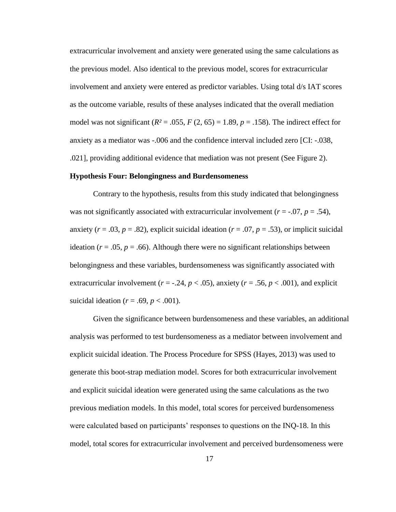extracurricular involvement and anxiety were generated using the same calculations as the previous model. Also identical to the previous model, scores for extracurricular involvement and anxiety were entered as predictor variables. Using total d/s IAT scores as the outcome variable, results of these analyses indicated that the overall mediation model was not significant  $(R^2 = .055, F(2, 65) = 1.89, p = .158)$ . The indirect effect for anxiety as a mediator was -.006 and the confidence interval included zero [CI: -.038, .021], providing additional evidence that mediation was not present (See Figure 2).

#### **Hypothesis Four: Belongingness and Burdensomeness**

Contrary to the hypothesis, results from this study indicated that belongingness was not significantly associated with extracurricular involvement  $(r = -0.07, p = 0.54)$ , anxiety ( $r = .03$ ,  $p = .82$ ), explicit suicidal ideation ( $r = .07$ ,  $p = .53$ ), or implicit suicidal ideation ( $r = .05$ ,  $p = .66$ ). Although there were no significant relationships between belongingness and these variables, burdensomeness was significantly associated with extracurricular involvement  $(r = -.24, p < .05)$ , anxiety  $(r = .56, p < .001)$ , and explicit suicidal ideation ( $r = .69$ ,  $p < .001$ ).

Given the significance between burdensomeness and these variables, an additional analysis was performed to test burdensomeness as a mediator between involvement and explicit suicidal ideation. The Process Procedure for SPSS (Hayes, 2013) was used to generate this boot-strap mediation model. Scores for both extracurricular involvement and explicit suicidal ideation were generated using the same calculations as the two previous mediation models. In this model, total scores for perceived burdensomeness were calculated based on participants' responses to questions on the INQ-18. In this model, total scores for extracurricular involvement and perceived burdensomeness were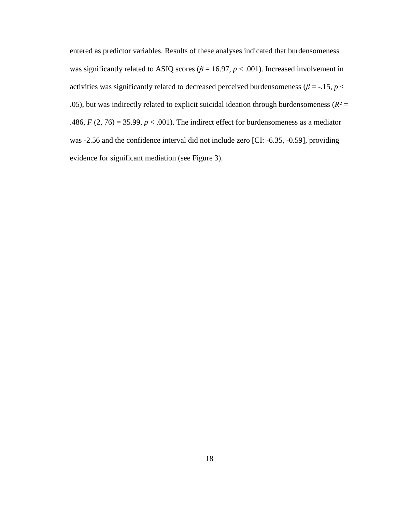entered as predictor variables. Results of these analyses indicated that burdensomeness was significantly related to ASIQ scores ( $\beta$  = 16.97,  $p$  < .001). Increased involvement in activities was significantly related to decreased perceived burdensomeness ( $\beta$  = -.15, *p* < .05), but was indirectly related to explicit suicidal ideation through burdensomeness ( $R^2$  = .486,  $F(2, 76) = 35.99$ ,  $p < .001$ ). The indirect effect for burdensomeness as a mediator was -2.56 and the confidence interval did not include zero [CI: -6.35, -0.59], providing evidence for significant mediation (see Figure 3).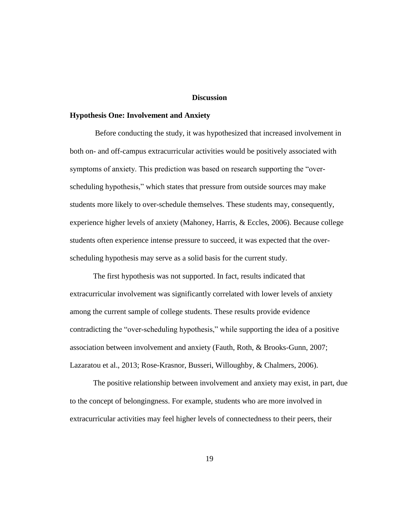#### **Discussion**

#### **Hypothesis One: Involvement and Anxiety**

Before conducting the study, it was hypothesized that increased involvement in both on- and off-campus extracurricular activities would be positively associated with symptoms of anxiety. This prediction was based on research supporting the "overscheduling hypothesis," which states that pressure from outside sources may make students more likely to over-schedule themselves. These students may, consequently, experience higher levels of anxiety (Mahoney, Harris, & Eccles, 2006). Because college students often experience intense pressure to succeed, it was expected that the overscheduling hypothesis may serve as a solid basis for the current study.

The first hypothesis was not supported. In fact, results indicated that extracurricular involvement was significantly correlated with lower levels of anxiety among the current sample of college students. These results provide evidence contradicting the "over-scheduling hypothesis," while supporting the idea of a positive association between involvement and anxiety (Fauth, Roth, & Brooks-Gunn, 2007; Lazaratou et al., 2013; Rose-Krasnor, Busseri, Willoughby, & Chalmers, 2006).

The positive relationship between involvement and anxiety may exist, in part, due to the concept of belongingness. For example, students who are more involved in extracurricular activities may feel higher levels of connectedness to their peers, their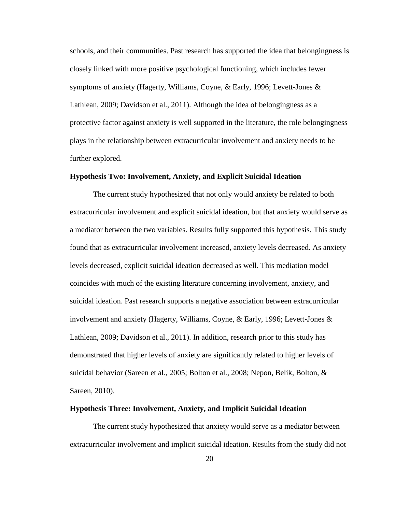schools, and their communities. Past research has supported the idea that belongingness is closely linked with more positive psychological functioning, which includes fewer symptoms of anxiety (Hagerty, Williams, Coyne,  $\&$  Early, 1996; Levett-Jones  $\&$ Lathlean, 2009; Davidson et al., 2011). Although the idea of belongingness as a protective factor against anxiety is well supported in the literature, the role belongingness plays in the relationship between extracurricular involvement and anxiety needs to be further explored.

#### **Hypothesis Two: Involvement, Anxiety, and Explicit Suicidal Ideation**

The current study hypothesized that not only would anxiety be related to both extracurricular involvement and explicit suicidal ideation, but that anxiety would serve as a mediator between the two variables. Results fully supported this hypothesis. This study found that as extracurricular involvement increased, anxiety levels decreased. As anxiety levels decreased, explicit suicidal ideation decreased as well. This mediation model coincides with much of the existing literature concerning involvement, anxiety, and suicidal ideation. Past research supports a negative association between extracurricular involvement and anxiety (Hagerty, Williams, Coyne, & Early, 1996; Levett‐Jones & Lathlean, 2009; Davidson et al., 2011). In addition, research prior to this study has demonstrated that higher levels of anxiety are significantly related to higher levels of suicidal behavior (Sareen et al., 2005; Bolton et al., 2008; Nepon, Belik, Bolton, & Sareen, 2010).

#### **Hypothesis Three: Involvement, Anxiety, and Implicit Suicidal Ideation**

The current study hypothesized that anxiety would serve as a mediator between extracurricular involvement and implicit suicidal ideation. Results from the study did not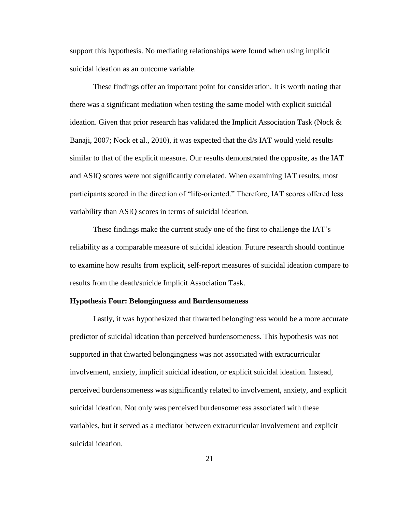support this hypothesis. No mediating relationships were found when using implicit suicidal ideation as an outcome variable.

These findings offer an important point for consideration. It is worth noting that there was a significant mediation when testing the same model with explicit suicidal ideation. Given that prior research has validated the Implicit Association Task (Nock & Banaji, 2007; Nock et al., 2010), it was expected that the d/s IAT would yield results similar to that of the explicit measure. Our results demonstrated the opposite, as the IAT and ASIQ scores were not significantly correlated. When examining IAT results, most participants scored in the direction of "life-oriented." Therefore, IAT scores offered less variability than ASIQ scores in terms of suicidal ideation.

These findings make the current study one of the first to challenge the IAT's reliability as a comparable measure of suicidal ideation. Future research should continue to examine how results from explicit, self-report measures of suicidal ideation compare to results from the death/suicide Implicit Association Task.

#### **Hypothesis Four: Belongingness and Burdensomeness**

Lastly, it was hypothesized that thwarted belongingness would be a more accurate predictor of suicidal ideation than perceived burdensomeness. This hypothesis was not supported in that thwarted belongingness was not associated with extracurricular involvement, anxiety, implicit suicidal ideation, or explicit suicidal ideation. Instead, perceived burdensomeness was significantly related to involvement, anxiety, and explicit suicidal ideation. Not only was perceived burdensomeness associated with these variables, but it served as a mediator between extracurricular involvement and explicit suicidal ideation.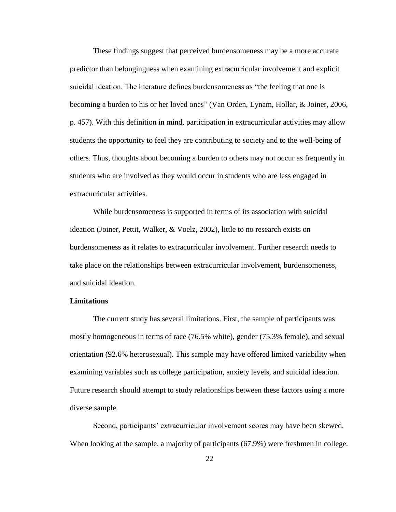These findings suggest that perceived burdensomeness may be a more accurate predictor than belongingness when examining extracurricular involvement and explicit suicidal ideation. The literature defines burdensomeness as "the feeling that one is becoming a burden to his or her loved ones" (Van Orden, Lynam, Hollar, & Joiner, 2006, p. 457). With this definition in mind, participation in extracurricular activities may allow students the opportunity to feel they are contributing to society and to the well-being of others. Thus, thoughts about becoming a burden to others may not occur as frequently in students who are involved as they would occur in students who are less engaged in extracurricular activities.

While burdensomeness is supported in terms of its association with suicidal ideation (Joiner, Pettit, Walker, & Voelz, 2002), little to no research exists on burdensomeness as it relates to extracurricular involvement. Further research needs to take place on the relationships between extracurricular involvement, burdensomeness, and suicidal ideation.

#### **Limitations**

The current study has several limitations. First, the sample of participants was mostly homogeneous in terms of race (76.5% white), gender (75.3% female), and sexual orientation (92.6% heterosexual). This sample may have offered limited variability when examining variables such as college participation, anxiety levels, and suicidal ideation. Future research should attempt to study relationships between these factors using a more diverse sample.

Second, participants' extracurricular involvement scores may have been skewed. When looking at the sample, a majority of participants (67.9%) were freshmen in college.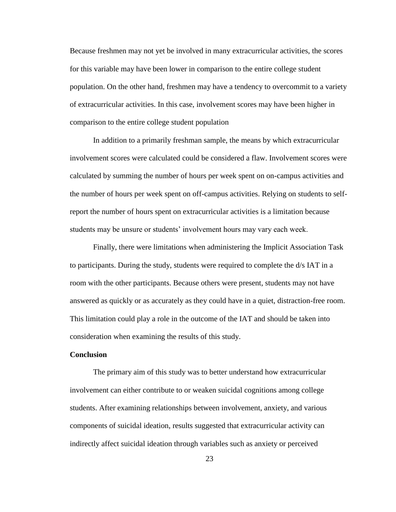Because freshmen may not yet be involved in many extracurricular activities, the scores for this variable may have been lower in comparison to the entire college student population. On the other hand, freshmen may have a tendency to overcommit to a variety of extracurricular activities. In this case, involvement scores may have been higher in comparison to the entire college student population

In addition to a primarily freshman sample, the means by which extracurricular involvement scores were calculated could be considered a flaw. Involvement scores were calculated by summing the number of hours per week spent on on-campus activities and the number of hours per week spent on off-campus activities. Relying on students to selfreport the number of hours spent on extracurricular activities is a limitation because students may be unsure or students' involvement hours may vary each week.

Finally, there were limitations when administering the Implicit Association Task to participants. During the study, students were required to complete the d/s IAT in a room with the other participants. Because others were present, students may not have answered as quickly or as accurately as they could have in a quiet, distraction-free room. This limitation could play a role in the outcome of the IAT and should be taken into consideration when examining the results of this study.

#### **Conclusion**

The primary aim of this study was to better understand how extracurricular involvement can either contribute to or weaken suicidal cognitions among college students. After examining relationships between involvement, anxiety, and various components of suicidal ideation, results suggested that extracurricular activity can indirectly affect suicidal ideation through variables such as anxiety or perceived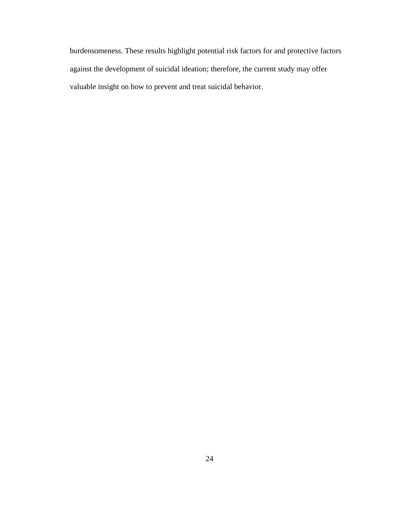burdensomeness. These results highlight potential risk factors for and protective factors against the development of suicidal ideation; therefore, the current study may offer valuable insight on how to prevent and treat suicidal behavior.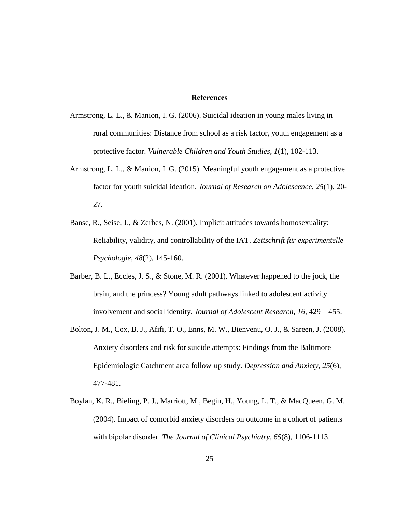#### **References**

- Armstrong, L. L., & Manion, I. G. (2006). Suicidal ideation in young males living in rural communities: Distance from school as a risk factor, youth engagement as a protective factor. *Vulnerable Children and Youth Studies*, *1*(1), 102-113.
- Armstrong, L. L., & Manion, I. G. (2015). Meaningful youth engagement as a protective factor for youth suicidal ideation. *Journal of Research on Adolescence, 25*(1), 20- 27.
- Banse, R., Seise, J., & Zerbes, N. (2001). Implicit attitudes towards homosexuality: Reliability, validity, and controllability of the IAT. *Zeitschrift für experimentelle Psychologie*, *48*(2), 145-160.
- Barber, B. L., Eccles, J. S., & Stone, M. R. (2001). Whatever happened to the jock, the brain, and the princess? Young adult pathways linked to adolescent activity involvement and social identity. *Journal of Adolescent Research, 16*, 429 – 455.
- Bolton, J. M., Cox, B. J., Afifi, T. O., Enns, M. W., Bienvenu, O. J., & Sareen, J. (2008). Anxiety disorders and risk for suicide attempts: Findings from the Baltimore Epidemiologic Catchment area follow‐up study. *Depression and Anxiety*, *25*(6), 477-481.
- Boylan, K. R., Bieling, P. J., Marriott, M., Begin, H., Young, L. T., & MacQueen, G. M. (2004). Impact of comorbid anxiety disorders on outcome in a cohort of patients with bipolar disorder. *The Journal of Clinical Psychiatry*, *65*(8), 1106-1113.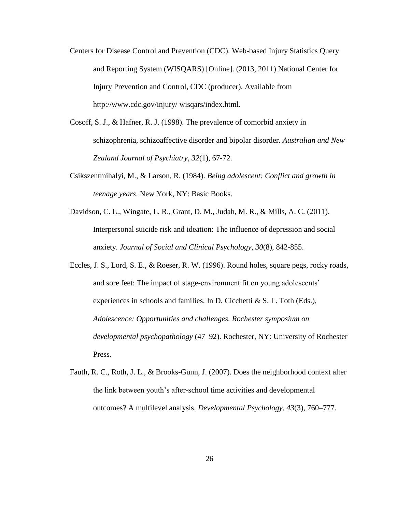- Centers for Disease Control and Prevention (CDC). Web-based Injury Statistics Query and Reporting System (WISQARS) [Online]. (2013, 2011) National Center for Injury Prevention and Control, CDC (producer). Available from http://www.cdc.gov/injury/ wisqars/index.html.
- Cosoff, S. J., & Hafner, R. J. (1998). The prevalence of comorbid anxiety in schizophrenia, schizoaffective disorder and bipolar disorder. *Australian and New Zealand Journal of Psychiatry*, *32*(1), 67-72.
- Csikszentmihalyi, M., & Larson, R. (1984). *Being adolescent: Conflict and growth in teenage years*. New York, NY: Basic Books.
- Davidson, C. L., Wingate, L. R., Grant, D. M., Judah, M. R., & Mills, A. C. (2011). Interpersonal suicide risk and ideation: The influence of depression and social anxiety. *Journal of Social and Clinical Psychology*, *30*(8), 842-855.
- Eccles, J. S., Lord, S. E., & Roeser, R. W. (1996). Round holes, square pegs, rocky roads, and sore feet: The impact of stage-environment fit on young adolescents' experiences in schools and families. In D. Cicchetti & S. L. Toth (Eds.), *Adolescence: Opportunities and challenges. Rochester symposium on developmental psychopathology* (47–92). Rochester, NY: University of Rochester Press.
- Fauth, R. C., Roth, J. L., & Brooks-Gunn, J. (2007). Does the neighborhood context alter the link between youth's after-school time activities and developmental outcomes? A multilevel analysis. *Developmental Psychology, 43*(3), 760–777.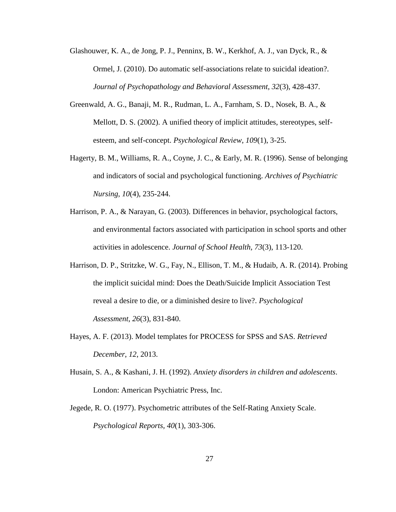- Glashouwer, K. A., de Jong, P. J., Penninx, B. W., Kerkhof, A. J., van Dyck, R., & Ormel, J. (2010). Do automatic self-associations relate to suicidal ideation?. *Journal of Psychopathology and Behavioral Assessment*, *32*(3), 428-437.
- Greenwald, A. G., Banaji, M. R., Rudman, L. A., Farnham, S. D., Nosek, B. A., & Mellott, D. S. (2002). A unified theory of implicit attitudes, stereotypes, selfesteem, and self-concept. *Psychological Review*, *109*(1), 3-25.
- Hagerty, B. M., Williams, R. A., Coyne, J. C., & Early, M. R. (1996). Sense of belonging and indicators of social and psychological functioning. *Archives of Psychiatric Nursing*, *10*(4), 235-244.
- Harrison, P. A., & Narayan, G. (2003). Differences in behavior, psychological factors, and environmental factors associated with participation in school sports and other activities in adolescence. *Journal of School Health, 73*(3), 113-120.
- Harrison, D. P., Stritzke, W. G., Fay, N., Ellison, T. M., & Hudaib, A. R. (2014). Probing the implicit suicidal mind: Does the Death/Suicide Implicit Association Test reveal a desire to die, or a diminished desire to live?. *Psychological Assessment*, *26*(3), 831-840.
- Hayes, A. F. (2013). Model templates for PROCESS for SPSS and SAS. *Retrieved December*, *12*, 2013.
- Husain, S. A., & Kashani, J. H. (1992). *Anxiety disorders in children and adolescents*. London: American Psychiatric Press, Inc.
- Jegede, R. O. (1977). Psychometric attributes of the Self-Rating Anxiety Scale. *Psychological Reports, 40*(1), 303-306.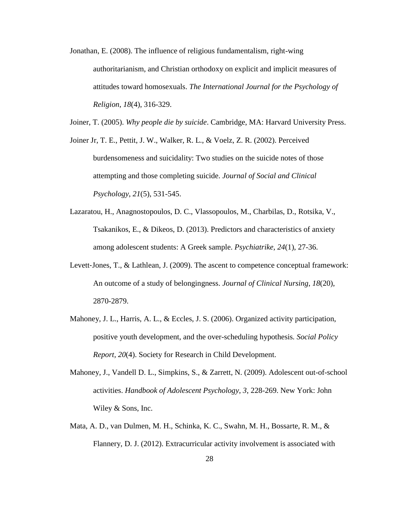Jonathan, E. (2008). The influence of religious fundamentalism, right-wing authoritarianism, and Christian orthodoxy on explicit and implicit measures of attitudes toward homosexuals. *The International Journal for the Psychology of Religion*, *18*(4), 316-329.

Joiner, T. (2005). *Why people die by suicide*. Cambridge, MA: Harvard University Press.

Joiner Jr, T. E., Pettit, J. W., Walker, R. L., & Voelz, Z. R. (2002). Perceived burdensomeness and suicidality: Two studies on the suicide notes of those attempting and those completing suicide. *Journal of Social and Clinical Psychology*, *21*(5), 531-545.

- Lazaratou, H., Anagnostopoulos, D. C., Vlassopoulos, M., Charbilas, D., Rotsika, V., Tsakanikos, E., & Dikeos, D. (2013). Predictors and characteristics of anxiety among adolescent students: A Greek sample. *Psychiatrike, 24*(1), 27-36.
- Levett-Jones, T., & Lathlean, J. (2009). The ascent to competence conceptual framework: An outcome of a study of belongingness. *Journal of Clinical Nursing*, *18*(20), 2870-2879.
- Mahoney, J. L., Harris, A. L., & Eccles, J. S. (2006). Organized activity participation, positive youth development, and the over-scheduling hypothesis*. Social Policy Report, 20*(4). Society for Research in Child Development.
- Mahoney, J., Vandell D. L., Simpkins, S., & Zarrett, N. (2009). Adolescent out-of-school activities. *Handbook of Adolescent Psychology*, *3*, 228-269. New York: John Wiley & Sons, Inc.
- Mata, A. D., van Dulmen, M. H., Schinka, K. C., Swahn, M. H., Bossarte, R. M., & Flannery, D. J. (2012). Extracurricular activity involvement is associated with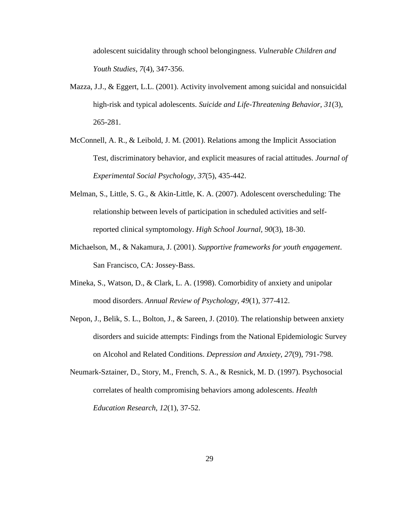adolescent suicidality through school belongingness. *Vulnerable Children and Youth Studies, 7*(4), 347-356.

- Mazza, J.J., & Eggert, L.L. (2001). Activity involvement among suicidal and nonsuicidal high-risk and typical adolescents. *Suicide and Life-Threatening Behavior, 31*(3), 265-281.
- McConnell, A. R., & Leibold, J. M. (2001). Relations among the Implicit Association Test, discriminatory behavior, and explicit measures of racial attitudes. *Journal of Experimental Social Psychology*, *37*(5), 435-442.
- Melman, S., Little, S. G., & Akin-Little, K. A. (2007). Adolescent overscheduling: The relationship between levels of participation in scheduled activities and selfreported clinical symptomology. *High School Journal, 90*(3), 18-30.
- Michaelson, M., & Nakamura, J. (2001). *Supportive frameworks for youth engagement*. San Francisco, CA: Jossey-Bass.
- Mineka, S., Watson, D., & Clark, L. A. (1998). Comorbidity of anxiety and unipolar mood disorders. *Annual Review of Psychology*, *49*(1), 377-412.
- Nepon, J., Belik, S. L., Bolton, J., & Sareen, J. (2010). The relationship between anxiety disorders and suicide attempts: Findings from the National Epidemiologic Survey on Alcohol and Related Conditions. *Depression and Anxiety*, *27*(9), 791-798.
- Neumark-Sztainer, D., Story, M., French, S. A., & Resnick, M. D. (1997). Psychosocial correlates of health compromising behaviors among adolescents. *Health Education Research*, *12*(1), 37-52.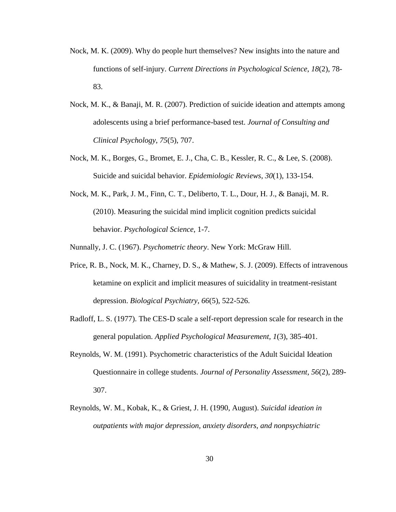- Nock, M. K. (2009). Why do people hurt themselves? New insights into the nature and functions of self-injury. *Current Directions in Psychological Science*, *18*(2), 78- 83.
- Nock, M. K., & Banaji, M. R. (2007). Prediction of suicide ideation and attempts among adolescents using a brief performance-based test. *Journal of Consulting and Clinical Psychology*, *75*(5), 707.
- Nock, M. K., Borges, G., Bromet, E. J., Cha, C. B., Kessler, R. C., & Lee, S. (2008). Suicide and suicidal behavior. *Epidemiologic Reviews*, *30*(1), 133-154.
- Nock, M. K., Park, J. M., Finn, C. T., Deliberto, T. L., Dour, H. J., & Banaji, M. R. (2010). Measuring the suicidal mind implicit cognition predicts suicidal behavior. *Psychological Science*, 1-7.

Nunnally, J. C. (1967). *Psychometric theory*. New York: McGraw Hill.

- Price, R. B., Nock, M. K., Charney, D. S., & Mathew, S. J. (2009). Effects of intravenous ketamine on explicit and implicit measures of suicidality in treatment-resistant depression. *Biological Psychiatry*, *66*(5), 522-526.
- Radloff, L. S. (1977). The CES-D scale a self-report depression scale for research in the general population. *Applied Psychological Measurement, 1*(3), 385-401.
- Reynolds, W. M. (1991). Psychometric characteristics of the Adult Suicidal Ideation Questionnaire in college students. *Journal of Personality Assessment*, *56*(2), 289- 307.
- Reynolds, W. M., Kobak, K., & Griest, J. H. (1990, August). *Suicidal ideation in outpatients with major depression, anxiety disorders, and nonpsychiatric*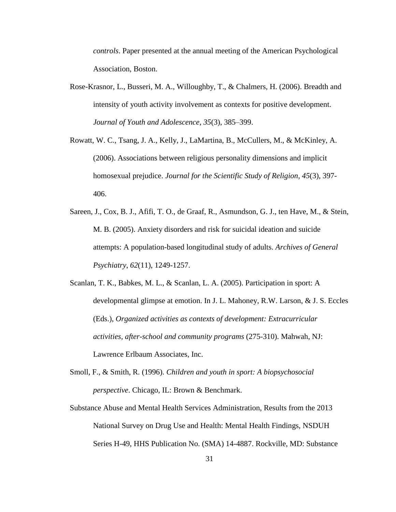*controls*. Paper presented at the annual meeting of the American Psychological Association, Boston.

- Rose-Krasnor, L., Busseri, M. A., Willoughby, T., & Chalmers, H. (2006). Breadth and intensity of youth activity involvement as contexts for positive development. *Journal of Youth and Adolescence, 35*(3), 385–399.
- Rowatt, W. C., Tsang, J. A., Kelly, J., LaMartina, B., McCullers, M., & McKinley, A. (2006). Associations between religious personality dimensions and implicit homosexual prejudice. *Journal for the Scientific Study of Religion*, *45*(3), 397- 406.
- Sareen, J., Cox, B. J., Afifi, T. O., de Graaf, R., Asmundson, G. J., ten Have, M., & Stein, M. B. (2005). Anxiety disorders and risk for suicidal ideation and suicide attempts: A population-based longitudinal study of adults. *Archives of General Psychiatry*, *62*(11), 1249-1257.
- Scanlan, T. K., Babkes, M. L., & Scanlan, L. A. (2005). Participation in sport: A developmental glimpse at emotion. In J. L. Mahoney, R.W. Larson, & J. S. Eccles (Eds.), *Organized activities as contexts of development: Extracurricular activities, after-school and community programs* (275-310). Mahwah, NJ: Lawrence Erlbaum Associates, Inc.
- Smoll, F., & Smith, R. (1996). *Children and youth in sport: A biopsychosocial perspective*. Chicago, IL: Brown & Benchmark.
- Substance Abuse and Mental Health Services Administration, Results from the 2013 National Survey on Drug Use and Health: Mental Health Findings, NSDUH Series H-49, HHS Publication No. (SMA) 14-4887. Rockville, MD: Substance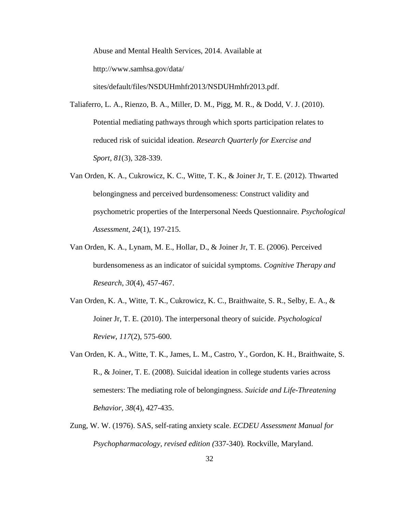Abuse and Mental Health Services, 2014. Available at http://www.samhsa.gov/data/ sites/default/files/NSDUHmhfr2013/NSDUHmhfr2013.pdf.

Taliaferro, L. A., Rienzo, B. A., Miller, D. M., Pigg, M. R., & Dodd, V. J. (2010). Potential mediating pathways through which sports participation relates to reduced risk of suicidal ideation. *Research Quarterly for Exercise and Sport*, *81*(3), 328-339.

- Van Orden, K. A., Cukrowicz, K. C., Witte, T. K., & Joiner Jr, T. E. (2012). Thwarted belongingness and perceived burdensomeness: Construct validity and psychometric properties of the Interpersonal Needs Questionnaire. *Psychological Assessment*, *24*(1), 197-215.
- Van Orden, K. A., Lynam, M. E., Hollar, D., & Joiner Jr, T. E. (2006). Perceived burdensomeness as an indicator of suicidal symptoms. *Cognitive Therapy and Research*, *30*(4), 457-467.
- Van Orden, K. A., Witte, T. K., Cukrowicz, K. C., Braithwaite, S. R., Selby, E. A., & Joiner Jr, T. E. (2010). The interpersonal theory of suicide. *Psychological Review*, *117*(2), 575-600.
- Van Orden, K. A., Witte, T. K., James, L. M., Castro, Y., Gordon, K. H., Braithwaite, S. R., & Joiner, T. E. (2008). Suicidal ideation in college students varies across semesters: The mediating role of belongingness. *Suicide and Life-Threatening Behavior*, *38*(4), 427-435.
- Zung, W. W. (1976). SAS, self-rating anxiety scale. *ECDEU Assessment Manual for Psychopharmacology, revised edition (*337-340)*.* Rockville, Maryland.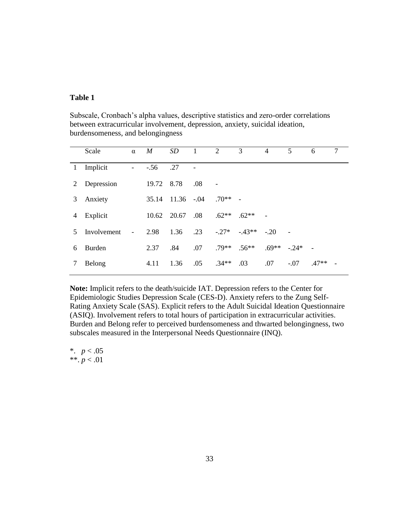#### **Table 1**

Subscale, Cronbach's alpha values, descriptive statistics and zero-order correlations between extracurricular involvement, depression, anxiety, suicidal ideation, burdensomeness, and belongingness

|   | Scale       | $\alpha$                 | $\boldsymbol{M}$ | SD             | 1   | 2         | 3                 | 4              | 5 <sup>5</sup> | 6       | $\overline{7}$ |
|---|-------------|--------------------------|------------------|----------------|-----|-----------|-------------------|----------------|----------------|---------|----------------|
|   | 1 Implicit  | $\overline{\phantom{a}}$ | $-.56$           | .27            |     |           |                   |                |                |         |                |
| 2 | Depression  |                          | 19.72            | 8.78           | .08 |           |                   |                |                |         |                |
| 3 | Anxiety     |                          | 35.14            | $11.36 - 0.04$ |     | $.70**$ - |                   |                |                |         |                |
| 4 | Explicit    |                          |                  | 10.62 20.67    | .08 | $.62**$   | $.62**$           | $\overline{a}$ |                |         |                |
| 5 | Involvement | $\blacksquare$           | 2.98             | 1.36           | .23 |           | $-27^* - 43^{**}$ | $-20$          |                |         |                |
| 6 | Burden      |                          | 2.37             | .84            | .07 | $.79**$   | $.56**$           | $.69**$        | $-24*$         |         |                |
|   | Belong      |                          | 4.11             | 1.36           | .05 | $.34**$   | .03               | .07            | $-.07$         | $.47**$ |                |

**Note:** Implicit refers to the death/suicide IAT. Depression refers to the Center for Epidemiologic Studies Depression Scale (CES-D). Anxiety refers to the Zung Self-Rating Anxiety Scale (SAS). Explicit refers to the Adult Suicidal Ideation Questionnaire (ASIQ). Involvement refers to total hours of participation in extracurricular activities. Burden and Belong refer to perceived burdensomeness and thwarted belongingness, two subscales measured in the Interpersonal Needs Questionnaire (INQ).

\*. *p* < .05 \*\*. *p* < .01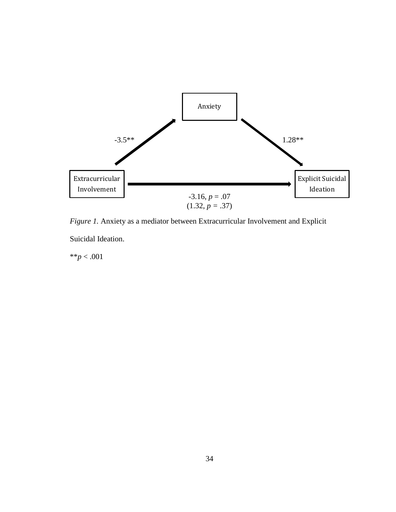

*Figure 1.* Anxiety as a mediator between Extracurricular Involvement and Explicit Suicidal Ideation.

\*\**p* < .001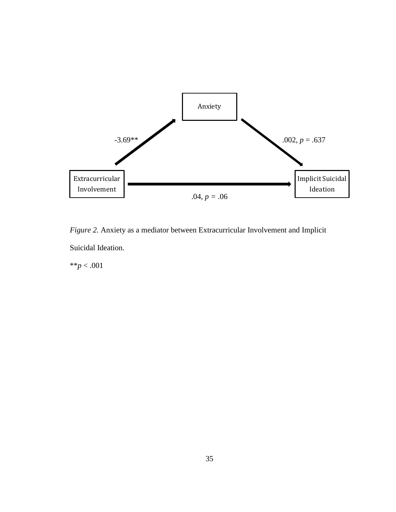

*Figure 2.* Anxiety as a mediator between Extracurricular Involvement and Implicit Suicidal Ideation.

\*\**p* < .001